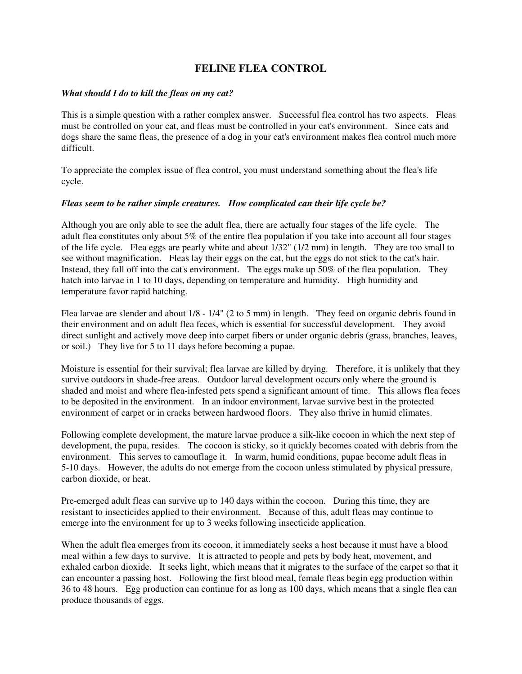# **FELINE FLEA CONTROL**

### *What should I do to kill the fleas on my cat?*

This is a simple question with a rather complex answer. Successful flea control has two aspects. Fleas must be controlled on your cat, and fleas must be controlled in your cat's environment. Since cats and dogs share the same fleas, the presence of a dog in your cat's environment makes flea control much more difficult.

To appreciate the complex issue of flea control, you must understand something about the flea's life cycle.

#### *Fleas seem to be rather simple creatures. How complicated can their life cycle be?*

Although you are only able to see the adult flea, there are actually four stages of the life cycle. The adult flea constitutes only about 5% of the entire flea population if you take into account all four stages of the life cycle. Flea eggs are pearly white and about 1/32" (1/2 mm) in length. They are too small to see without magnification. Fleas lay their eggs on the cat, but the eggs do not stick to the cat's hair. Instead, they fall off into the cat's environment. The eggs make up 50% of the flea population. They hatch into larvae in 1 to 10 days, depending on temperature and humidity. High humidity and temperature favor rapid hatching.

Flea larvae are slender and about 1/8 - 1/4" (2 to 5 mm) in length. They feed on organic debris found in their environment and on adult flea feces, which is essential for successful development. They avoid direct sunlight and actively move deep into carpet fibers or under organic debris (grass, branches, leaves, or soil.) They live for 5 to 11 days before becoming a pupae.

Moisture is essential for their survival; flea larvae are killed by drying. Therefore, it is unlikely that they survive outdoors in shade-free areas. Outdoor larval development occurs only where the ground is shaded and moist and where flea-infested pets spend a significant amount of time. This allows flea feces to be deposited in the environment. In an indoor environment, larvae survive best in the protected environment of carpet or in cracks between hardwood floors. They also thrive in humid climates.

Following complete development, the mature larvae produce a silk-like cocoon in which the next step of development, the pupa, resides. The cocoon is sticky, so it quickly becomes coated with debris from the environment. This serves to camouflage it. In warm, humid conditions, pupae become adult fleas in 5-10 days. However, the adults do not emerge from the cocoon unless stimulated by physical pressure, carbon dioxide, or heat.

Pre-emerged adult fleas can survive up to 140 days within the cocoon. During this time, they are resistant to insecticides applied to their environment. Because of this, adult fleas may continue to emerge into the environment for up to 3 weeks following insecticide application.

When the adult flea emerges from its cocoon, it immediately seeks a host because it must have a blood meal within a few days to survive. It is attracted to people and pets by body heat, movement, and exhaled carbon dioxide. It seeks light, which means that it migrates to the surface of the carpet so that it can encounter a passing host. Following the first blood meal, female fleas begin egg production within 36 to 48 hours. Egg production can continue for as long as 100 days, which means that a single flea can produce thousands of eggs.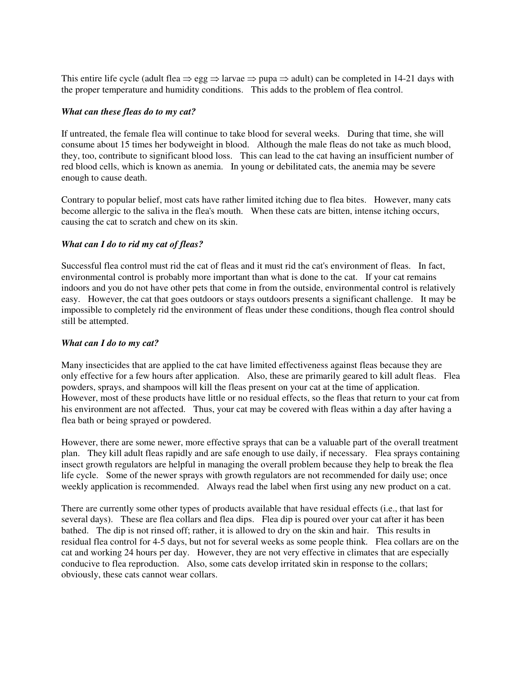This entire life cycle (adult flea  $\Rightarrow$  egg  $\Rightarrow$  larvae  $\Rightarrow$  pupa  $\Rightarrow$  adult) can be completed in 14-21 days with the proper temperature and humidity conditions. This adds to the problem of flea control.

#### *What can these fleas do to my cat?*

If untreated, the female flea will continue to take blood for several weeks. During that time, she will consume about 15 times her bodyweight in blood. Although the male fleas do not take as much blood, they, too, contribute to significant blood loss. This can lead to the cat having an insufficient number of red blood cells, which is known as anemia. In young or debilitated cats, the anemia may be severe enough to cause death.

Contrary to popular belief, most cats have rather limited itching due to flea bites. However, many cats become allergic to the saliva in the flea's mouth. When these cats are bitten, intense itching occurs, causing the cat to scratch and chew on its skin.

### *What can I do to rid my cat of fleas?*

Successful flea control must rid the cat of fleas and it must rid the cat's environment of fleas. In fact, environmental control is probably more important than what is done to the cat. If your cat remains indoors and you do not have other pets that come in from the outside, environmental control is relatively easy. However, the cat that goes outdoors or stays outdoors presents a significant challenge. It may be impossible to completely rid the environment of fleas under these conditions, though flea control should still be attempted.

### *What can I do to my cat?*

Many insecticides that are applied to the cat have limited effectiveness against fleas because they are only effective for a few hours after application. Also, these are primarily geared to kill adult fleas. Flea powders, sprays, and shampoos will kill the fleas present on your cat at the time of application. However, most of these products have little or no residual effects, so the fleas that return to your cat from his environment are not affected. Thus, your cat may be covered with fleas within a day after having a flea bath or being sprayed or powdered.

However, there are some newer, more effective sprays that can be a valuable part of the overall treatment plan. They kill adult fleas rapidly and are safe enough to use daily, if necessary. Flea sprays containing insect growth regulators are helpful in managing the overall problem because they help to break the flea life cycle. Some of the newer sprays with growth regulators are not recommended for daily use; once weekly application is recommended. Always read the label when first using any new product on a cat.

There are currently some other types of products available that have residual effects (i.e., that last for several days). These are flea collars and flea dips. Flea dip is poured over your cat after it has been bathed. The dip is not rinsed off; rather, it is allowed to dry on the skin and hair. This results in residual flea control for 4-5 days, but not for several weeks as some people think. Flea collars are on the cat and working 24 hours per day. However, they are not very effective in climates that are especially conducive to flea reproduction. Also, some cats develop irritated skin in response to the collars; obviously, these cats cannot wear collars.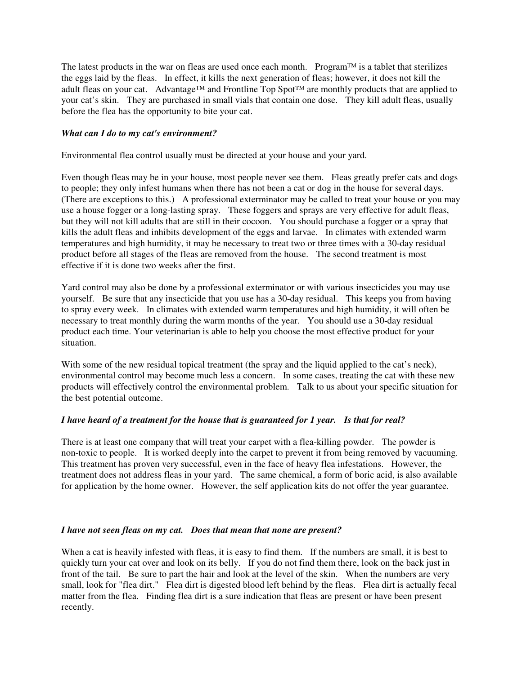The latest products in the war on fleas are used once each month. Program<sup> $TM$ </sup> is a tablet that sterilizes the eggs laid by the fleas. In effect, it kills the next generation of fleas; however, it does not kill the adult fleas on your cat. Advantage™ and Frontline Top Spot™ are monthly products that are applied to your cat's skin. They are purchased in small vials that contain one dose. They kill adult fleas, usually before the flea has the opportunity to bite your cat.

### *What can I do to my cat's environment?*

Environmental flea control usually must be directed at your house and your yard.

Even though fleas may be in your house, most people never see them. Fleas greatly prefer cats and dogs to people; they only infest humans when there has not been a cat or dog in the house for several days. (There are exceptions to this.) A professional exterminator may be called to treat your house or you may use a house fogger or a long-lasting spray. These foggers and sprays are very effective for adult fleas, but they will not kill adults that are still in their cocoon. You should purchase a fogger or a spray that kills the adult fleas and inhibits development of the eggs and larvae. In climates with extended warm temperatures and high humidity, it may be necessary to treat two or three times with a 30-day residual product before all stages of the fleas are removed from the house. The second treatment is most effective if it is done two weeks after the first.

Yard control may also be done by a professional exterminator or with various insecticides you may use yourself. Be sure that any insecticide that you use has a 30-day residual. This keeps you from having to spray every week. In climates with extended warm temperatures and high humidity, it will often be necessary to treat monthly during the warm months of the year. You should use a 30-day residual product each time. Your veterinarian is able to help you choose the most effective product for your situation.

With some of the new residual topical treatment (the spray and the liquid applied to the cat's neck), environmental control may become much less a concern. In some cases, treating the cat with these new products will effectively control the environmental problem. Talk to us about your specific situation for the best potential outcome.

### *I have heard of a treatment for the house that is guaranteed for 1 year. Is that for real?*

There is at least one company that will treat your carpet with a flea-killing powder. The powder is non-toxic to people. It is worked deeply into the carpet to prevent it from being removed by vacuuming. This treatment has proven very successful, even in the face of heavy flea infestations. However, the treatment does not address fleas in your yard. The same chemical, a form of boric acid, is also available for application by the home owner. However, the self application kits do not offer the year guarantee.

#### *I have not seen fleas on my cat. Does that mean that none are present?*

When a cat is heavily infested with fleas, it is easy to find them. If the numbers are small, it is best to quickly turn your cat over and look on its belly. If you do not find them there, look on the back just in front of the tail. Be sure to part the hair and look at the level of the skin. When the numbers are very small, look for "flea dirt." Flea dirt is digested blood left behind by the fleas. Flea dirt is actually fecal matter from the flea. Finding flea dirt is a sure indication that fleas are present or have been present recently.